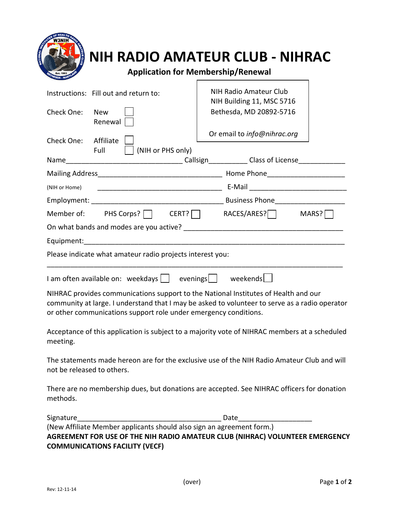| Instructions: Fill out and return to:                                                                                     | NIH Radio Amateur Club                                                                                                                                                                |
|---------------------------------------------------------------------------------------------------------------------------|---------------------------------------------------------------------------------------------------------------------------------------------------------------------------------------|
| Check One:<br><b>New</b><br>Renewal                                                                                       | NIH Building 11, MSC 5716<br>Bethesda, MD 20892-5716                                                                                                                                  |
| Check One: Affiliate<br>Full<br>    (NIH or PHS only)                                                                     | Or email to info@nihrac.org                                                                                                                                                           |
|                                                                                                                           |                                                                                                                                                                                       |
|                                                                                                                           |                                                                                                                                                                                       |
| (NIH or Home)                                                                                                             |                                                                                                                                                                                       |
|                                                                                                                           |                                                                                                                                                                                       |
|                                                                                                                           | Member of: PHS Corps? $\Box$ CERT? $\Box$ RACES/ARES? $\Box$ MARS? $\Box$                                                                                                             |
|                                                                                                                           |                                                                                                                                                                                       |
|                                                                                                                           |                                                                                                                                                                                       |
| Please indicate what amateur radio projects interest you:                                                                 |                                                                                                                                                                                       |
| I am often available on: weekdays   evenings     weekends                                                                 |                                                                                                                                                                                       |
| or other communications support role under emergency conditions.                                                          | NIHRAC provides communications support to the National Institutes of Health and our<br>community at large. I understand that I may be asked to volunteer to serve as a radio operator |
|                                                                                                                           | Acceptance of this application is subject to a majority vote of NIHRAC members at a scheduled                                                                                         |
| meeting.                                                                                                                  |                                                                                                                                                                                       |
| The statements made hereon are for the exclusive use of the NIH Radio Amateur Club and will<br>not be released to others. |                                                                                                                                                                                       |
| methods.                                                                                                                  | There are no membership dues, but donations are accepted. See NIHRAC officers for donation                                                                                            |